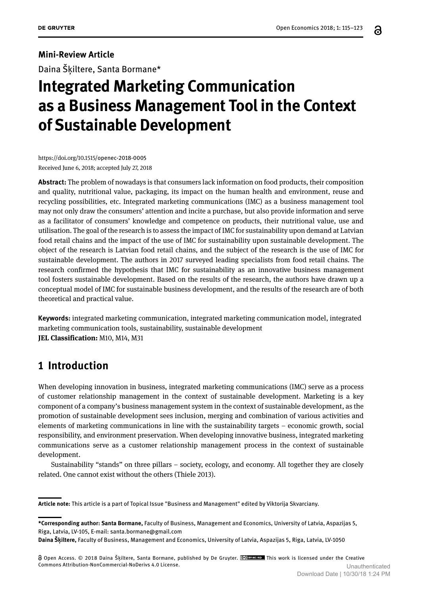෬

# Daina Šķiltere, Santa Bormane\* **Integrated Marketing Communication as a Business Management Tool in the Context of Sustainable Development Mini-Review Article**

https://doi.org/10.1515/openec-2018-0005 Received June 6, 2018; accepted July 27, 2018

**Abstract:** The problem of nowadays is that consumers lack information on food products, their composition and quality, nutritional value, packaging, its impact on the human health and environment, reuse and recycling possibilities, etc. Integrated marketing communications (IMC) as a business management tool may not only draw the consumers' attention and incite a purchase, but also provide information and serve as a facilitator of consumers' knowledge and competence on products, their nutritional value, use and utilisation. The goal of the research is to assess the impact of IMC for sustainability upon demand at Latvian food retail chains and the impact of the use of IMC for sustainability upon sustainable development. The object of the research is Latvian food retail chains, and the subject of the research is the use of IMC for sustainable development. The authors in 2017 surveyed leading specialists from food retail chains. The research confirmed the hypothesis that IMC for sustainability as an innovative business management tool fosters sustainable development. Based on the results of the research, the authors have drawn up a conceptual model of IMC for sustainable business development, and the results of the research are of both theoretical and practical value.

**Keywords:** integrated marketing communication, integrated marketing communication model, integrated marketing communication tools, sustainability, sustainable development **JEL Classification:** M10, M14, M31

#### **1 Introduction**

When developing innovation in business, integrated marketing communications (IMC) serve as a process of customer relationship management in the context of sustainable development. Marketing is a key component of a company's business management system in the context of sustainable development, as the promotion of sustainable development sees inclusion, merging and combination of various activities and elements of marketing communications in line with the sustainability targets – economic growth, social responsibility, and environment preservation. When developing innovative business, integrated marketing communications serve as a customer relationship management process in the context of sustainable development.

Sustainability "stands" on three pillars – society, ecology, and economy. All together they are closely related. One cannot exist without the others (Thiele 2013).

**Article note:** This article is a part of Topical Issue "Business and Management" edited by Viktorija Skvarciany.

**<sup>\*</sup>Corresponding author: Santa Bormane,** Faculty of Business, Management and Economics, University of Latvia, Aspazijas 5, Riga, Latvia, LV-105, E-mail: santa.bormane@gmail.com

**Daina Šķiltere,** Faculty of Business, Management and Economics, University of Latvia, Aspazijas 5, Riga, Latvia, LV-1050

Open Access. © 2018 Daina Šķiltere, Santa Bormane, published by De Gruyter. This work is licensed under the Creative Commons Attribution-NonCommercial-NoDerivs 4.0 License. Unauthenticated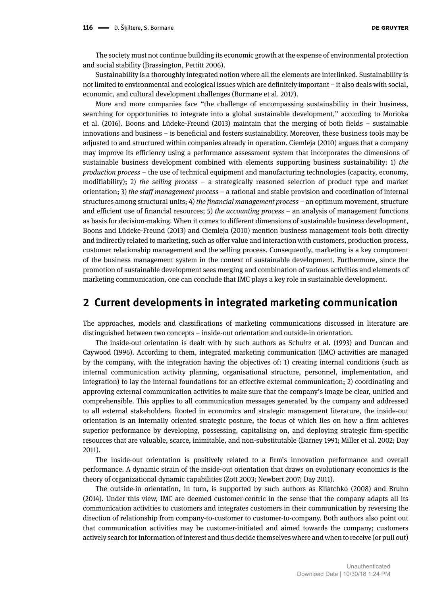The society must not continue building its economic growth at the expense of environmental protection and social stability (Brassington, Pettitt 2006).

Sustainability is a thoroughly integrated notion where all the elements are interlinked. Sustainability is not limited to environmental and ecological issues which are definitely important – it also deals with social, economic, and cultural development challenges (Bormane et al. 2017).

More and more companies face "the challenge of encompassing sustainability in their business, searching for opportunities to integrate into a global sustainable development," according to Morioka et al. (2016). Boons and Lüdeke-Freund (2013) maintain that the merging of both fields – sustainable innovations and business – is beneficial and fosters sustainability. Moreover, these business tools may be adjusted to and structured within companies already in operation. Ciemleja (2010) argues that a company may improve its efficiency using a performance assessment system that incorporates the dimensions of sustainable business development combined with elements supporting business sustainability: 1) *the production process* – the use of technical equipment and manufacturing technologies (capacity, economy, modifiability); 2) *the selling process* – a strategically reasoned selection of product type and market orientation; 3) *the staff management process* – a rational and stable provision and coordination of internal structures among structural units; 4) *the financial management process* – an optimum movement, structure and efficient use of financial resources; 5) *the accounting process* – an analysis of management functions as basis for decision-making. When it comes to different dimensions of sustainable business development, Boons and Lüdeke-Freund (2013) and Ciemleja (2010) mention business management tools both directly and indirectly related to marketing, such as offer value and interaction with customers, production process, customer relationship management and the selling process. Consequently, marketing is a key component of the business management system in the context of sustainable development. Furthermore, since the promotion of sustainable development sees merging and combination of various activities and elements of marketing communication, one can conclude that IMC plays a key role in sustainable development.

#### **2 Current developments in integrated marketing communication**

The approaches, models and classifications of marketing communications discussed in literature are distinguished between two concepts – inside-out orientation and outside-in orientation.

The inside-out orientation is dealt with by such authors as Schultz et al. (1993) and Duncan and Caywood (1996). According to them, integrated marketing communication (IMC) activities are managed by the company, with the integration having the objectives of: 1) creating internal conditions (such as internal communication activity planning, organisational structure, personnel, implementation, and integration) to lay the internal foundations for an effective external communication; 2) coordinating and approving external communication activities to make sure that the company's image be clear, unified and comprehensible. This applies to all communication messages generated by the company and addressed to all external stakeholders. Rooted in economics and strategic management literature, the inside-out orientation is an internally oriented strategic posture, the focus of which lies on how a firm achieves superior performance by developing, possessing, capitalising on, and deploying strategic firm-specific resources that are valuable, scarce, inimitable, and non-substitutable (Barney 1991; Miller et al. 2002; Day 2011).

The inside-out orientation is positively related to a firm's innovation performance and overall performance. A dynamic strain of the inside-out orientation that draws on evolutionary economics is the theory of organizational dynamic capabilities (Zott 2003; Newbert 2007; Day 2011).

The outside-in orientation, in turn, is supported by such authors as Kliatchko (2008) and Bruhn (2014). Under this view, IMC are deemed customer-centric in the sense that the company adapts all its communication activities to customers and integrates customers in their communication by reversing the direction of relationship from company-to-customer to customer-to-company. Both authors also point out that communication activities may be customer-initiated and aimed towards the company; customers actively search for information of interest and thus decide themselves where and when to receive (or pull out)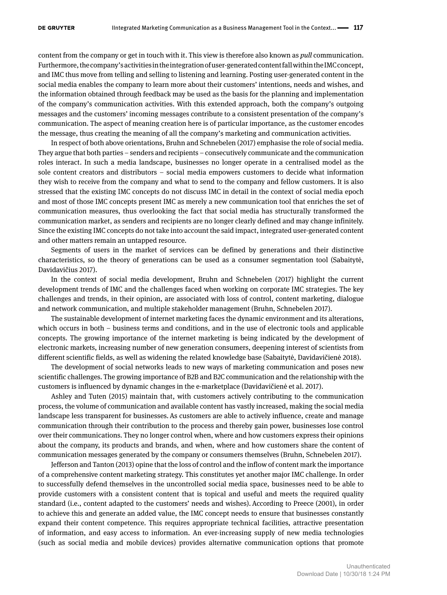content from the company or get in touch with it. This view is therefore also known as *pull* communication. Furthermore, the company's activities in the integration of user-generated content fall within the IMC concept, and IMC thus move from telling and selling to listening and learning. Posting user-generated content in the social media enables the company to learn more about their customers' intentions, needs and wishes, and the information obtained through feedback may be used as the basis for the planning and implementation of the company's communication activities. With this extended approach, both the company's outgoing messages and the customers' incoming messages contribute to a consistent presentation of the company's communication. The aspect of meaning creation here is of particular importance, as the customer encodes the message, thus creating the meaning of all the company's marketing and communication activities.

In respect of both above orientations, Bruhn and Schnebelen (2017) emphasise the role of social media. They argue that both parties – senders and recipients – consecutively communicate and the communication roles interact. In such a media landscape, businesses no longer operate in a centralised model as the sole content creators and distributors – social media empowers customers to decide what information they wish to receive from the company and what to send to the company and fellow customers. It is also stressed that the existing IMC concepts do not discuss IMC in detail in the context of social media epoch and most of those IMC concepts present IMC as merely a new communication tool that enriches the set of communication measures, thus overlooking the fact that social media has structurally transformed the communication market, as senders and recipients are no longer clearly defined and may change infinitely. Since the existing IMC concepts do not take into account the said impact, integrated user-generated content and other matters remain an untapped resource.

Segments of users in the market of services can be defined by generations and their distinctive characteristics, so the theory of generations can be used as a consumer segmentation tool (Sabaitytė, Davidavičius 2017).

In the context of social media development, Bruhn and Schnebelen (2017) highlight the current development trends of IMC and the challenges faced when working on corporate IMC strategies. The key challenges and trends, in their opinion, are associated with loss of control, content marketing, dialogue and network communication, and multiple stakeholder management (Bruhn, Schnebelen 2017).

The sustainable development of internet marketing faces the dynamic environment and its alterations, which occurs in both – business terms and conditions, and in the use of electronic tools and applicable concepts. The growing importance of the internet marketing is being indicated by the development of electronic markets, increasing number of new generation consumers, deepening interest of scientists from different scientific fields, as well as widening the related knowledge base (Sabaitytė, Davidavičienė 2018).

The development of social networks leads to new ways of marketing communication and poses new scientific challenges. The growing importance of B2B and B2C communication and the relationship with the customers is influenced by dynamic changes in the e-marketplace (Davidavičienė et al. 2017).

Ashley and Tuten (2015) maintain that, with customers actively contributing to the communication process, the volume of communication and available content has vastly increased, making the social media landscape less transparent for businesses.As customers are able to actively influence, create and manage communication through their contribution to the process and thereby gain power, businesses lose control over their communications. They no longer control when, where and how customers express their opinions about the company, its products and brands, and when, where and how customers share the content of communication messages generated by the company or consumers themselves (Bruhn, Schnebelen 2017).

Jefferson and Tanton (2013) opine that the loss of control and the inflow of content mark the importance of a comprehensive content marketing strategy. This constitutes yet another major IMC challenge. In order to successfully defend themselves in the uncontrolled social media space, businesses need to be able to provide customers with a consistent content that is topical and useful and meets the required quality standard (i.e., content adapted to the customers' needs and wishes). According to Preece (2001), in order to achieve this and generate an added value, the IMC concept needs to ensure that businesses constantly expand their content competence. This requires appropriate technical facilities, attractive presentation of information, and easy access to information. An ever-increasing supply of new media technologies (such as social media and mobile devices) provides alternative communication options that promote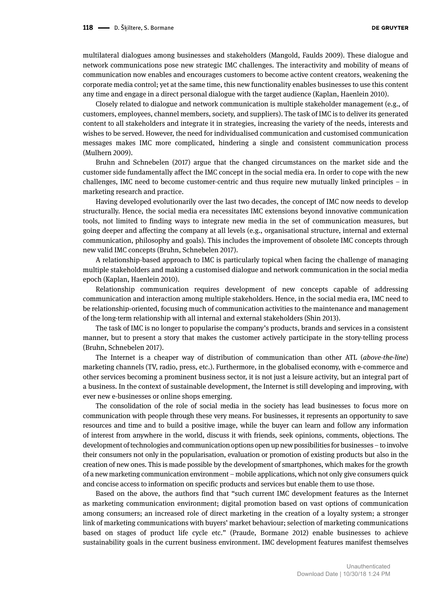multilateral dialogues among businesses and stakeholders (Mangold, Faulds 2009). These dialogue and network communications pose new strategic IMC challenges. The interactivity and mobility of means of communication now enables and encourages customers to become active content creators, weakening the corporate media control; yet at the same time, this new functionality enables businesses to use this content any time and engage in a direct personal dialogue with the target audience (Kaplan, Haenlein 2010).

Closely related to dialogue and network communication is multiple stakeholder management (e.g., of customers, employees, channel members, society, and suppliers). The task of IMC is to deliver its generated content to all stakeholders and integrate it in strategies, increasing the variety of the needs, interests and wishes to be served. However, the need for individualised communication and customised communication messages makes IMC more complicated, hindering a single and consistent communication process (Mulhern 2009).

Bruhn and Schnebelen (2017) argue that the changed circumstances on the market side and the customer side fundamentally affect the IMC concept in the social media era. In order to cope with the new challenges, IMC need to become customer-centric and thus require new mutually linked principles – in marketing research and practice.

Having developed evolutionarily over the last two decades, the concept of IMC now needs to develop structurally. Hence, the social media era necessitates IMC extensions beyond innovative communication tools, not limited to finding ways to integrate new media in the set of communication measures, but going deeper and affecting the company at all levels (e.g., organisational structure, internal and external communication, philosophy and goals). This includes the improvement of obsolete IMC concepts through new valid IMC concepts (Bruhn, Schnebelen 2017).

A relationship-based approach to IMC is particularly topical when facing the challenge of managing multiple stakeholders and making a customised dialogue and network communication in the social media epoch (Kaplan, Haenlein 2010).

Relationship communication requires development of new concepts capable of addressing communication and interaction among multiple stakeholders. Hence, in the social media era, IMC need to be relationship-oriented, focusing much of communication activities to the maintenance and management of the long-term relationship with all internal and external stakeholders (Shin 2013).

The task of IMC is no longer to popularise the company's products, brands and services in a consistent manner, but to present a story that makes the customer actively participate in the story-telling process (Bruhn, Schnebelen 2017).

The Internet is a cheaper way of distribution of communication than other ATL (*above-the-line*) marketing channels (TV, radio, press, etc.). Furthermore, in the globalised economy, with e-commerce and other services becoming a prominent business sector, it is not just a leisure activity, but an integral part of a business. In the context of sustainable development, the Internet is still developing and improving, with ever new e-businesses or online shops emerging.

The consolidation of the role of social media in the society has lead businesses to focus more on communication with people through these very means. For businesses, it represents an opportunity to save resources and time and to build a positive image, while the buyer can learn and follow any information of interest from anywhere in the world, discuss it with friends, seek opinions, comments, objections. The development of technologies and communication options open up new possibilities for businesses – to involve their consumers not only in the popularisation, evaluation or promotion of existing products but also in the creation of new ones. This is made possible by the development of smartphones, which makes for the growth of a new marketing communication environment – mobile applications, which not only give consumers quick and concise access to information on specific products and services but enable them to use those.

Based on the above, the authors find that "such current IMC development features as the Internet as marketing communication environment; digital promotion based on vast options of communication among consumers; an increased role of direct marketing in the creation of a loyalty system; a stronger link of marketing communications with buyers' market behaviour; selection of marketing communications based on stages of product life cycle etc." (Praude, Bormane 2012) enable businesses to achieve sustainability goals in the current business environment. IMC development features manifest themselves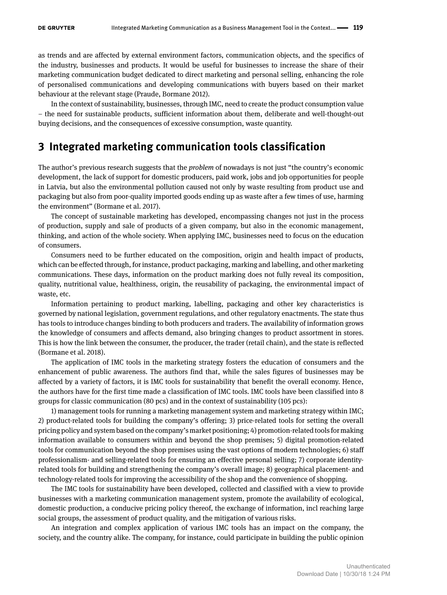as trends and are affected by external environment factors, communication objects, and the specifics of the industry, businesses and products. It would be useful for businesses to increase the share of their marketing communication budget dedicated to direct marketing and personal selling, enhancing the role of personalised communications and developing communications with buyers based on their market behaviour at the relevant stage (Praude, Bormane 2012).

In the context of sustainability, businesses, through IMC, need to create the product consumption value – the need for sustainable products, sufficient information about them, deliberate and well-thought-out buying decisions, and the consequences of excessive consumption, waste quantity.

#### **3 Integrated marketing communication tools classification**

The author's previous research suggests that the *problem* of nowadays is not just "the country's economic development, the lack of support for domestic producers, paid work, jobs and job opportunities for people in Latvia, but also the environmental pollution caused not only by waste resulting from product use and packaging but also from poor-quality imported goods ending up as waste after a few times of use, harming the environment" (Bormane et al. 2017).

The concept of sustainable marketing has developed, encompassing changes not just in the process of production, supply and sale of products of a given company, but also in the economic management, thinking, and action of the whole society. When applying IMC, businesses need to focus on the education of consumers.

Consumers need to be further educated on the composition, origin and health impact of products, which can be effected through, for instance, product packaging, marking and labelling, and other marketing communications. These days, information on the product marking does not fully reveal its composition, quality, nutritional value, healthiness, origin, the reusability of packaging, the environmental impact of waste, etc.

Information pertaining to product marking, labelling, packaging and other key characteristics is governed by national legislation, government regulations, and other regulatory enactments. The state thus has tools to introduce changes binding to both producers and traders. The availability of information grows the knowledge of consumers and affects demand, also bringing changes to product assortment in stores. This is how the link between the consumer, the producer, the trader (retail chain), and the state is reflected (Bormane et al. 2018).

The application of IMC tools in the marketing strategy fosters the education of consumers and the enhancement of public awareness. The authors find that, while the sales figures of businesses may be affected by a variety of factors, it is IMC tools for sustainability that benefit the overall economy. Hence, the authors have for the first time made a classification of IMC tools. IMC tools have been classified into 8 groups for classic communication (80 pcs) and in the context of sustainability (105 pcs):

1) management tools for running a marketing management system and marketing strategy within IMC; 2) product-related tools for building the company's offering; 3) price-related tools for setting the overall pricing policy and system based on the company's market positioning; 4) promotion-related tools for making information available to consumers within and beyond the shop premises; 5) digital promotion-related tools for communication beyond the shop premises using the vast options of modern technologies; 6) staff professionalism- and selling-related tools for ensuring an effective personal selling; 7) corporate identityrelated tools for building and strengthening the company's overall image; 8) geographical placement- and technology-related tools for improving the accessibility of the shop and the convenience of shopping.

The IMC tools for sustainability have been developed, collected and classified with a view to provide businesses with a marketing communication management system, promote the availability of ecological, domestic production, a conducive pricing policy thereof, the exchange of information, incl reaching large social groups, the assessment of product quality, and the mitigation of various risks.

An integration and complex application of various IMC tools has an impact on the company, the society, and the country alike. The company, for instance, could participate in building the public opinion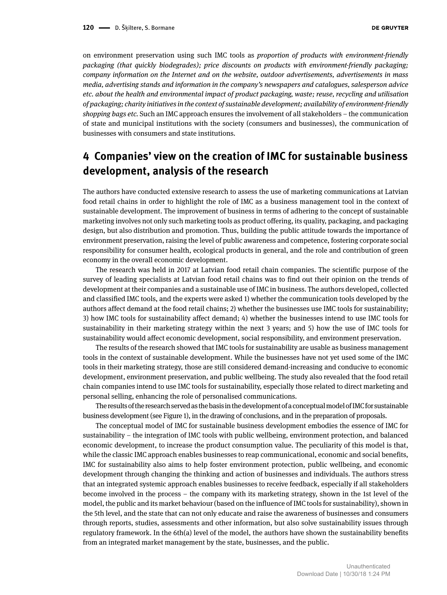on environment preservation using such IMC tools as *proportion of products with environment-friendly packaging (that quickly biodegrades); price discounts on products with environment-friendly packaging; company information on the Internet and on the website, outdoor advertisements, advertisements in mass media, advertising stands and information in the company's newspapers and catalogues, salesperson advice etc. about the health and environmental impact of product packaging, waste; reuse, recycling and utilisation of packaging; charity initiatives in the context of sustainable development; availability of environment-friendly shopping bags etc.* Such an IMC approach ensures the involvement of all stakeholders – the communication of state and municipal institutions with the society (consumers and businesses), the communication of businesses with consumers and state institutions.

## **4 Companies' view on the creation of IMC for sustainable business development, analysis of the research**

The authors have conducted extensive research to assess the use of marketing communications at Latvian food retail chains in order to highlight the role of IMC as a business management tool in the context of sustainable development. The improvement of business in terms of adhering to the concept of sustainable marketing involves not only such marketing tools as product offering, its quality, packaging, and packaging design, but also distribution and promotion. Thus, building the public attitude towards the importance of environment preservation, raising the level of public awareness and competence, fostering corporate social responsibility for consumer health, ecological products in general, and the role and contribution of green economy in the overall economic development.

The research was held in 2017 at Latvian food retail chain companies. The scientific purpose of the survey of leading specialists at Latvian food retail chains was to find out their opinion on the trends of development at their companies and a sustainable use of IMC in business. The authors developed, collected and classified IMC tools, and the experts were asked 1) whether the communication tools developed by the authors affect demand at the food retail chains; 2) whether the businesses use IMC tools for sustainability; 3) how IMC tools for sustainability affect demand; 4) whether the businesses intend to use IMC tools for sustainability in their marketing strategy within the next 3 years; and 5) how the use of IMC tools for sustainability would affect economic development, social responsibility, and environment preservation.

The results of the research showed that IMC tools for sustainability are usable as business management tools in the context of sustainable development. While the businesses have not yet used some of the IMC tools in their marketing strategy, those are still considered demand-increasing and conducive to economic development, environment preservation, and public wellbeing. The study also revealed that the food retail chain companies intend to use IMC tools for sustainability, especially those related to direct marketing and personal selling, enhancing the role of personalised communications.

The results of the research served as the basis in the development of a conceptual model of IMC for sustainable business development (see Figure 1), in the drawing of conclusions, and in the preparation of proposals.

The conceptual model of IMC for sustainable business development embodies the essence of IMC for sustainability – the integration of IMC tools with public wellbeing, environment protection, and balanced economic development, to increase the product consumption value. The peculiarity of this model is that, while the classic IMC approach enables businesses to reap communicational, economic and social benefits, IMC for sustainability also aims to help foster environment protection, public wellbeing, and economic development through changing the thinking and action of businesses and individuals. The authors stress that an integrated systemic approach enables businesses to receive feedback, especially if all stakeholders become involved in the process – the company with its marketing strategy, shown in the 1st level of the model, the public and its market behaviour (based on the influence of IMC tools for sustainability), shown in the 5th level, and the state that can not only educate and raise the awareness of businesses and consumers through reports, studies, assessments and other information, but also solve sustainability issues through regulatory framework. In the 6th(a) level of the model, the authors have shown the sustainability benefits from an integrated market management by the state, businesses, and the public.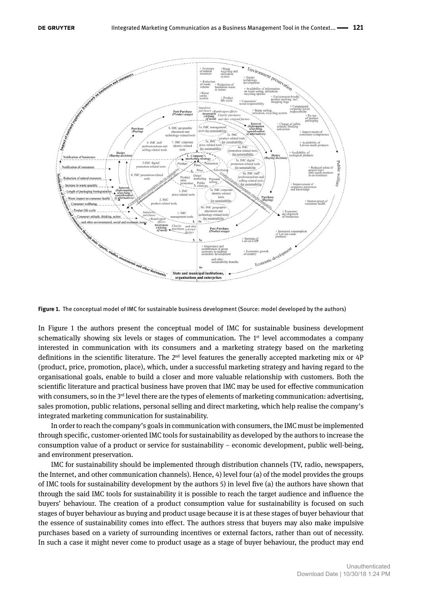

**Figure 1.** The conceptual model of IMC for sustainable business development (Source: model developed by the authors)

In Figure 1 the authors present the conceptual model of IMC for sustainable business development schematically showing six levels or stages of communication. The 1<sup>st</sup> level accommodates a company interested in communication with its consumers and a marketing strategy based on the marketing definitions in the scientific literature. The  $2<sup>nd</sup>$  level features the generally accepted marketing mix or 4P (product, price, promotion, place), which, under a successful marketing strategy and having regard to the organisational goals, enable to build a closer and more valuable relationship with customers. Both the scientific literature and practical business have proven that IMC may be used for effective communication with consumers, so in the  $3<sup>rd</sup>$  level there are the types of elements of marketing communication: advertising, sales promotion, public relations, personal selling and direct marketing, which help realise the company's integrated marketing communication for sustainability.

In order to reach the company's goals in communication with consumers, the IMC must be implemented through specific, customer-oriented IMC tools for sustainability as developed by the authors to increase the consumption value of a product or service for sustainability – economic development, public well-being, and environment preservation.

IMC for sustainability should be implemented through distribution channels (TV, radio, newspapers, the Internet, and other communication channels). Hence, 4) level four (a) of the model provides the groups of IMC tools for sustainability development by the authors 5) in level five (a) the authors have shown that through the said IMC tools for sustainability it is possible to reach the target audience and influence the buyers' behaviour. The creation of a product consumption value for sustainability is focused on such stages of buyer behaviour as buying and product usage because it is at these stages of buyer behaviour that the essence of sustainability comes into effect. The authors stress that buyers may also make impulsive purchases based on a variety of surrounding incentives or external factors, rather than out of necessity. In such a case it might never come to product usage as a stage of buyer behaviour, the product may end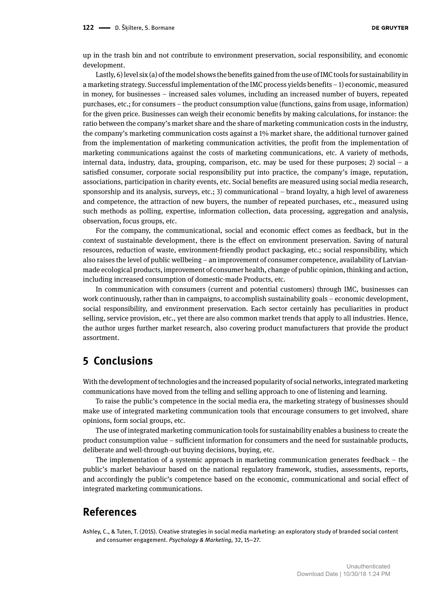up in the trash bin and not contribute to environment preservation, social responsibility, and economic development.

Lastly, 6) level six (a) of the model shows the benefits gained from the use of IMC tools for sustainability in a marketing strategy. Successful implementation of the IMC process yields benefits – 1) economic, measured in money, for businesses – increased sales volumes, including an increased number of buyers, repeated purchases, etc.; for consumers – the product consumption value (functions, gains from usage, information) for the given price. Businesses can weigh their economic benefits by making calculations, for instance: the ratio between the company's market share and the share of marketing communication costs in the industry, the company's marketing communication costs against a 1% market share, the additional turnover gained from the implementation of marketing communication activities, the profit from the implementation of marketing communications against the costs of marketing communications, etc. A variety of methods, internal data, industry, data, grouping, comparison, etc. may be used for these purposes; 2) social – a satisfied consumer, corporate social responsibility put into practice, the company's image, reputation, associations, participation in charity events, etc. Social benefits are measured using social media research, sponsorship and its analysis, surveys, etc.; 3) communicational – brand loyalty, a high level of awareness and competence, the attraction of new buyers, the number of repeated purchases, etc., measured using such methods as polling, expertise, information collection, data processing, aggregation and analysis, observation, focus groups, etc.

For the company, the communicational, social and economic effect comes as feedback, but in the context of sustainable development, there is the effect on environment preservation. Saving of natural resources, reduction of waste, environment-friendly product packaging, etc.; social responsibility, which also raises the level of public wellbeing – an improvement of consumer competence, availability of Latvianmade ecological products, improvement of consumer health, change of public opinion, thinking and action, including increased consumption of domestic-made Products, etc.

In communication with consumers (current and potential customers) through IMC, businesses can work continuously, rather than in campaigns, to accomplish sustainability goals – economic development, social responsibility, and environment preservation. Each sector certainly has peculiarities in product selling, service provision, etc., yet there are also common market trends that apply to all industries. Hence, the author urges further market research, also covering product manufacturers that provide the product assortment.

### **5 Conclusions**

With the development of technologies and the increased popularity of social networks, integrated marketing communications have moved from the telling and selling approach to one of listening and learning.

To raise the public's competence in the social media era, the marketing strategy of businesses should make use of integrated marketing communication tools that encourage consumers to get involved, share opinions, form social groups, etc.

The use of integrated marketing communication tools for sustainability enables a business to create the product consumption value – sufficient information for consumers and the need for sustainable products, deliberate and well-through-out buying decisions, buying, etc.

The implementation of a systemic approach in marketing communication generates feedback – the public's market behaviour based on the national regulatory framework, studies, assessments, reports, and accordingly the public's competence based on the economic, communicational and social effect of integrated marketing communications.

#### **References**

Ashley, C., & Tuten, T. (2015). Creative strategies in social media marketing: an exploratory study of branded social content and consumer engagement. *Psychology & Marketing,* 32, 15–27.